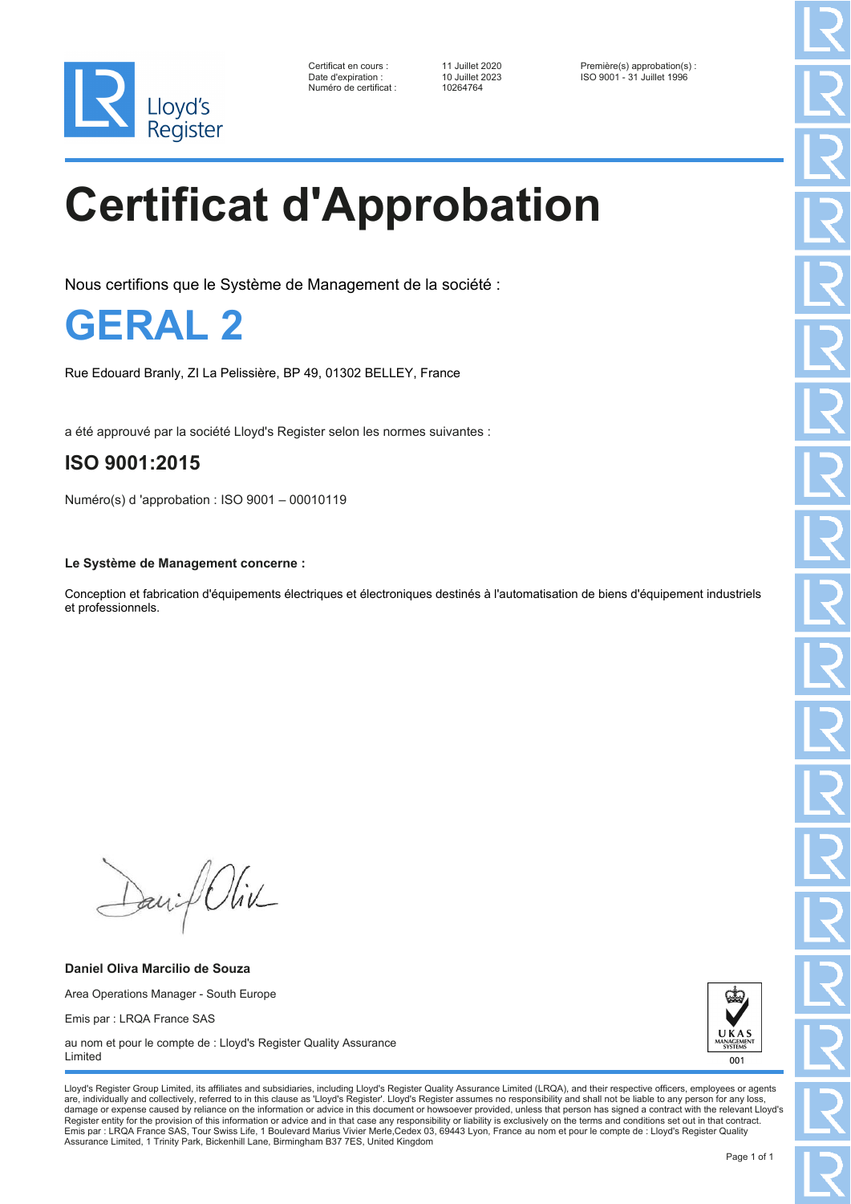

Numéro de certificat : 10264764

Certificat en cours : 11 Juillet 2020 Première(s) approbation(s) : Date d'expiration : 10 Juillet 2023 ISO 9001 - 31 Juillet 1996

# **Certificat d'Approbation**

Nous certifions que le Système de Management de la société :

**GERAL 2**

Rue Edouard Branly, ZI La Pelissière, BP 49, 01302 BELLEY, France

a été approuvé par la société Lloyd's Register selon les normes suivantes :

### **ISO 9001:2015**

Numéro(s) d 'approbation : ISO 9001 – 00010119

#### **Le Système de Management concerne :**

Conception et fabrication d'équipements électriques et électroniques destinés à l'automatisation de biens d'équipement industriels et professionnels.

David Oliv

**Daniel Oliva Marcilio de Souza** Area Operations Manager - South Europe Emis par : LRQA France SAS au nom et pour le compte de : Lloyd's Register Quality Assurance



Lloyd's Register Group Limited, its affiliates and subsidiaries, including Lloyd's Register Quality Assurance Limited (LRQA), and their respective officers, employees or agents are, individually and collectively, referred to in this clause as 'Lloyd's Register'. Lloyd's Register assumes no responsibility and shall not be liable to any person for any los damage or expense caused by reliance on the information or advice in this document or howsoever provided, unless that person has signed a contract with the relevant Lloyd's<br>Register entity for the provision of this informa Emis par : LRQA France SAS, Tour Swiss Life, 1 Boulevard Marius Vivier Merle,Cedex 03, 69443 Lyon, France au nom et pour le compte de : Lloyd's Register Quality Assurance Limited, 1 Trinity Park, Bickenhill Lane, Birmingham B37 7ES, United Kingdom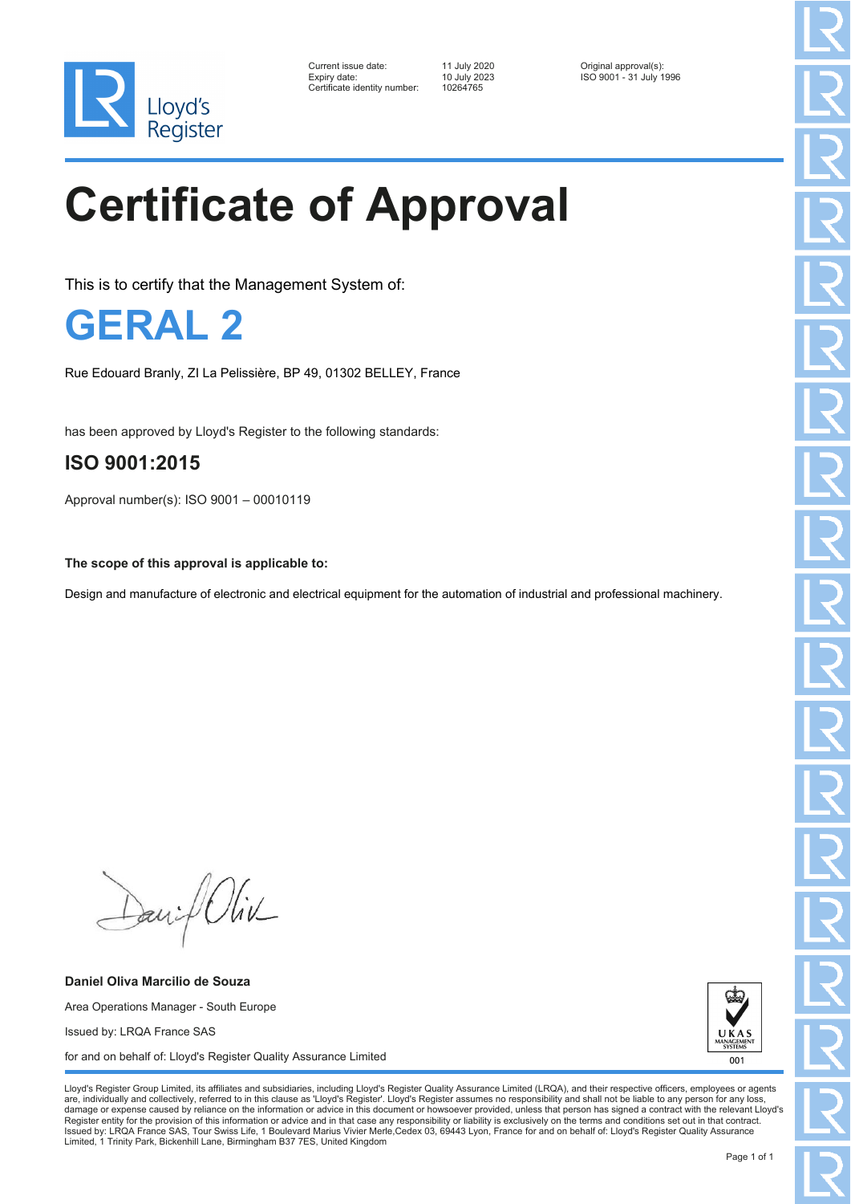

| Current issue date:          | 11 July 2020 | Original approval(s):   |
|------------------------------|--------------|-------------------------|
| Expiry date:                 | 10 July 2023 | ISO 9001 - 31 July 1996 |
| Certificate identity number: | 10264765     |                         |

10264765

# **Certificate of Approval**

This is to certify that the Management System of:

**GERAL 2**

Rue Edouard Branly, ZI La Pelissière, BP 49, 01302 BELLEY, France

has been approved by Lloyd's Register to the following standards:

### **ISO 9001:2015**

Approval number(s): ISO 9001 – 00010119

**The scope of this approval is applicable to:**

Design and manufacture of electronic and electrical equipment for the automation of industrial and professional machinery.

David Oliv

**Daniel Oliva Marcilio de Souza** Area Operations Manager - South Europe Issued by: LRQA France SAS for and on behalf of: Lloyd's Register Quality Assurance Limited



Lloyd's Register Group Limited, its affiliates and subsidiaries, including Lloyd's Register Quality Assurance Limited (LRQA), and their respective officers, employees or agents are, individually and collectively, referred to in this clause as 'Lloyd's Register'. Lloyd's Register assumes no responsibility and shall not be liable to any person for any los damage or expense caused by reliance on the information or advice in this document or howsoever provided, unless that person has signed a contract with the relevant Lloyd's<br>Register entity for the provision of this informa Issued by: LRQA France SAS, Tour Swiss Life, 1 Boulevard Marius Vivier Merle,Cedex 03, 69443 Lyon, France for and on behalf of: Lloyd's Register Quality Assurance Limited, 1 Trinity Park, Bickenhill Lane, Birmingham B37 7ES, United Kingdom